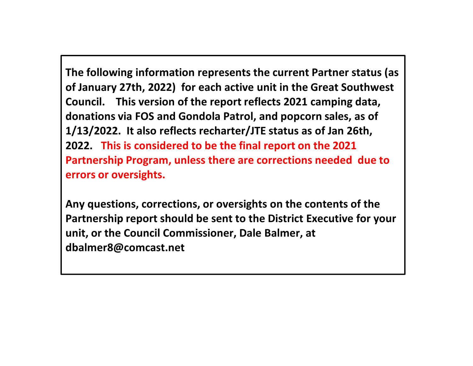**The following information represents the current Partner status (as of January 27th, 2022) for each active unit in the Great Southwest Council. This version of the report reflects 2021 camping data, donations via FOS and Gondola Patrol, and popcorn sales, as of 1/13/2022. It also reflects recharter/JTE status as of Jan 26th, 2022. This is considered to be the final report on the 2021 Partnership Program, unless there are corrections needed due to errors or oversights.**

**Any questions, corrections, or oversights on the contents of the Partnership report should be sent to the District Executive for your unit, or the Council Commissioner, Dale Balmer, at dbalmer8@comcast.net**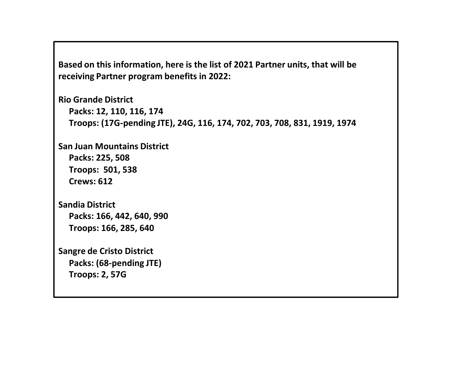**Based on this information, here is the list of 2021 Partner units, that will be receiving Partner program benefits in 2022:**

```
Rio Grande District
Packs: 12, 110, 116, 174
Troops: (17G-pending JTE), 24G, 116, 174, 702, 703, 708, 831, 1919, 1974
```
**San Juan Mountains District Packs: 225, 508 Troops: 501, 538 Crews: 612**

```
Sandia District
Packs: 166, 442, 640, 990
Troops: 166, 285, 640
```

```
Sangre de Cristo District 
Packs: (68-pending JTE)
Troops: 2, 57G
```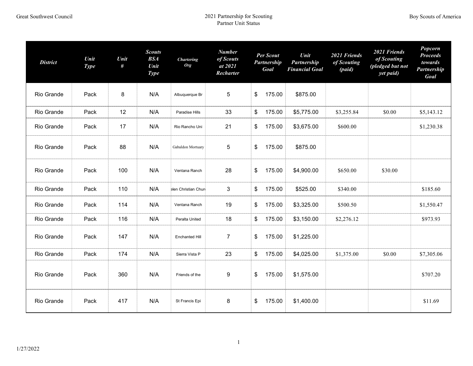| <b>District</b> | Unit<br><b>Type</b> | Unit<br># | <b>Scouts</b><br><b>BSA</b><br>Unit<br><b>Type</b> | <b>Chartering</b><br><b>Org</b> | <b>Number</b><br>of Scouts<br>at 2021<br>Recharter | Per Scout<br><b>Partnership</b><br>Goal | Unit<br>Partnership<br><b>Financial Goal</b> | 2021 Friends<br>of Scouting<br>(paid) | 2021 Friends<br>of Scouting<br>(pledged but not<br>yet paid) | Popcorn<br><b>Proceeds</b><br>towards<br>Partnership<br>Goal |
|-----------------|---------------------|-----------|----------------------------------------------------|---------------------------------|----------------------------------------------------|-----------------------------------------|----------------------------------------------|---------------------------------------|--------------------------------------------------------------|--------------------------------------------------------------|
| Rio Grande      | Pack                | 8         | N/A                                                | Albuquerque Br                  | 5                                                  | \$<br>175.00                            | \$875.00                                     |                                       |                                                              |                                                              |
| Rio Grande      | Pack                | 12        | N/A                                                | Paradise Hills                  | 33                                                 | \$<br>175.00                            | \$5,775.00                                   | \$3,255.84                            | \$0.00                                                       | \$5,143.12                                                   |
| Rio Grande      | Pack                | 17        | N/A                                                | Rio Rancho Uni                  | 21                                                 | \$<br>175.00                            | \$3,675.00                                   | \$600.00                              |                                                              | \$1,230.38                                                   |
| Rio Grande      | Pack                | 88        | N/A                                                | Gabaldon Mortuary               | 5                                                  | \$<br>175.00                            | \$875.00                                     |                                       |                                                              |                                                              |
| Rio Grande      | Pack                | 100       | N/A                                                | Ventana Ranch                   | 28                                                 | \$<br>175.00                            | \$4,900.00                                   | \$650.00                              | \$30.00                                                      |                                                              |
| Rio Grande      | Pack                | 110       | N/A                                                | elen Christian Chure            | 3                                                  | \$<br>175.00                            | \$525.00                                     | \$340.00                              |                                                              | \$185.60                                                     |
| Rio Grande      | Pack                | 114       | N/A                                                | Ventana Ranch                   | 19                                                 | \$<br>175.00                            | \$3,325.00                                   | \$500.50                              |                                                              | \$1,550.47                                                   |
| Rio Grande      | Pack                | 116       | N/A                                                | Peralta United                  | 18                                                 | \$<br>175.00                            | \$3,150.00                                   | \$2,276.12                            |                                                              | \$973.93                                                     |
| Rio Grande      | Pack                | 147       | N/A                                                | <b>Enchanted Hill</b>           | $\overline{7}$                                     | \$<br>175.00                            | \$1,225.00                                   |                                       |                                                              |                                                              |
| Rio Grande      | Pack                | 174       | N/A                                                | Sierra Vista P                  | 23                                                 | \$<br>175.00                            | \$4,025.00                                   | \$1,375.00                            | \$0.00                                                       | \$7,305.06                                                   |
| Rio Grande      | Pack                | 360       | N/A                                                | Friends of the                  | 9                                                  | \$<br>175.00                            | \$1,575.00                                   |                                       |                                                              | \$707.20                                                     |
| Rio Grande      | Pack                | 417       | N/A                                                | St Francis Epi                  | 8                                                  | \$<br>175.00                            | \$1,400.00                                   |                                       |                                                              | \$11.69                                                      |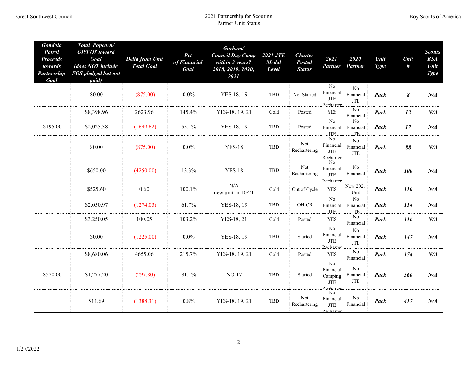| <b>Gondola</b><br><b>Patrol</b><br><b>Proceeds</b><br>towards<br>Partnership<br>Goal | Total Popcorn/<br><b>GP/FOS</b> toward<br>Goal<br>(does NOT include<br>FOS pledged but not<br>paid) | <b>Delta from Unit</b><br><b>Total Goal</b> | Pct<br>of Financial<br>Goal | Gorham/<br><b>Council Day Camp</b><br>within 3 years?<br>2018, 2019, 2020,<br>2021 | <b>2021 JTE</b><br><b>Medal</b><br>Level | <b>Charter</b><br><b>Posted</b><br><b>Status</b> | 2021<br>Partner                                             | 2020<br>Partner                           | Unit<br><b>Type</b> | Unit<br>#      | <b>Scouts</b><br><b>BSA</b><br>Unit<br><b>Type</b> |
|--------------------------------------------------------------------------------------|-----------------------------------------------------------------------------------------------------|---------------------------------------------|-----------------------------|------------------------------------------------------------------------------------|------------------------------------------|--------------------------------------------------|-------------------------------------------------------------|-------------------------------------------|---------------------|----------------|----------------------------------------------------|
|                                                                                      | \$0.00                                                                                              | (875.00)                                    | $0.0\%$                     | YES-18.19                                                                          | <b>TBD</b>                               | Not Started                                      | $\rm No$<br>Financial<br>JTE<br>Recharter.                  | N <sub>0</sub><br>Financial<br><b>JTE</b> | Pack                | $\pmb{\delta}$ | $N\!/\!A$                                          |
|                                                                                      | \$8,398.96                                                                                          | 2623.96                                     | 145.4%                      | YES-18. 19, 21                                                                     | Gold                                     | Posted                                           | <b>YES</b>                                                  | No<br>Financial                           | Pack                | 12             | $N\!/\!A$                                          |
| \$195.00                                                                             | \$2,025.38                                                                                          | (1649.62)                                   | 55.1%                       | YES-18.19                                                                          | <b>TBD</b>                               | Posted                                           | $\overline{No}$<br>Financial<br><b>JTE</b>                  | No<br>Financial<br><b>JTE</b>             | Pack                | 17             | $N\!/\!A$                                          |
|                                                                                      | \$0.00                                                                                              | (875.00)                                    | $0.0\%$                     | <b>YES-18</b>                                                                      | <b>TBD</b>                               | Not<br>Rechartering                              | $\rm No$<br>Financial<br>$\operatorname{JTE}$<br>Recharter  | No<br>Financial<br><b>JTE</b>             | Pack                | 88             | $N\!/\!A$                                          |
|                                                                                      | \$650.00                                                                                            | (4250.00)                                   | 13.3%                       | <b>YES-18</b>                                                                      | <b>TBD</b>                               | Not<br>Rechartering                              | $\rm No$<br>Financial<br>$\operatorname{JTE}$<br>Recharter  | N <sub>o</sub><br>Financial               | Pack                | <b>100</b>     | $N\!/\!A$                                          |
|                                                                                      | \$525.60                                                                                            | 0.60                                        | 100.1%                      | N/A<br>new unit in 10/21                                                           | Gold                                     | Out of Cycle                                     | <b>YES</b>                                                  | New 2021<br>Unit                          | Pack                | <i>110</i>     | $N\!/\!A$                                          |
|                                                                                      | \$2,050.97                                                                                          | (1274.03)                                   | 61.7%                       | YES-18, 19                                                                         | <b>TBD</b>                               | OH-CR                                            | $\rm No$<br>Financial<br><b>JTE</b>                         | No<br>Financial<br><b>JTE</b>             | Pack                | 114            | $N\!/\!A$                                          |
|                                                                                      | \$3,250.05                                                                                          | 100.05                                      | 103.2%                      | YES-18, 21                                                                         | Gold                                     | Posted                                           | <b>YES</b>                                                  | $\rm No$<br>Financial                     | Pack                | 116            | $N\!/\!A$                                          |
|                                                                                      | \$0.00                                                                                              | (1225.00)                                   | $0.0\%$                     | YES-18.19                                                                          | <b>TBD</b>                               | Started                                          | $\rm No$<br>Financial<br>JTE<br>Recharter                   | No<br>Financial<br><b>JTE</b>             | Pack                | 147            | $N\!/\!A$                                          |
|                                                                                      | \$8,680.06                                                                                          | 4655.06                                     | 215.7%                      | YES-18. 19, 21                                                                     | Gold                                     | Posted                                           | <b>YES</b>                                                  | No<br>Financial                           | Pack                | 174            | $N\!/\!A$                                          |
| \$570.00                                                                             | \$1,277.20                                                                                          | (297.80)                                    | 81.1%                       | $NO-17$                                                                            | <b>TBD</b>                               | Started                                          | $\rm No$<br>Financial<br>Camping<br><b>JTE</b><br>Recharter | N <sub>0</sub><br>Financial<br><b>JTE</b> | Pack                | 360            | $N\!/\!A$                                          |
|                                                                                      | \$11.69                                                                                             | (1388.31)                                   | 0.8%                        | YES-18. 19, 21                                                                     | <b>TBD</b>                               | Not<br>Rechartering                              | No<br>Financial<br><b>JTE</b><br><b>Recharter</b>           | No<br>Financial                           | Pack                | 417            | $N\!/\!A$                                          |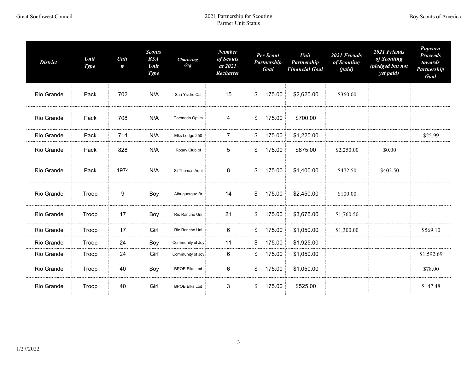| <b>District</b> | Unit<br><b>Type</b> | Unit<br># | <b>Scouts</b><br><b>BSA</b><br>Unit<br><b>Type</b> | <b>Chartering</b><br><b>Org</b> | <b>Number</b><br>of Scouts<br>at 2021<br>Recharter | <b>Per Scout</b><br>Partnership<br>Goal | Unit<br>Partnership<br><b>Financial Goal</b> | 2021 Friends<br>of Scouting<br>(paid) | 2021 Friends<br>of Scouting<br>(pledged but not<br>yet paid) | <b>Popcorn</b><br><b>Proceeds</b><br>towards<br>Partnership<br>Goal |
|-----------------|---------------------|-----------|----------------------------------------------------|---------------------------------|----------------------------------------------------|-----------------------------------------|----------------------------------------------|---------------------------------------|--------------------------------------------------------------|---------------------------------------------------------------------|
| Rio Grande      | Pack                | 702       | N/A                                                | San Ysidro Cat                  | 15                                                 | \$<br>175.00                            | \$2,625.00                                   | \$360.00                              |                                                              |                                                                     |
| Rio Grande      | Pack                | 708       | N/A                                                | Coronado Optim                  | $\overline{4}$                                     | \$<br>175.00                            | \$700.00                                     |                                       |                                                              |                                                                     |
| Rio Grande      | Pack                | 714       | N/A                                                | Elks Lodge 250                  | $\overline{7}$                                     | \$<br>175.00                            | \$1,225.00                                   |                                       |                                                              | \$25.99                                                             |
| Rio Grande      | Pack                | 828       | N/A                                                | Rotary Club of                  | 5                                                  | \$<br>175.00                            | \$875.00                                     | \$2,250.00                            | \$0.00                                                       |                                                                     |
| Rio Grande      | Pack                | 1974      | N/A                                                | St Thomas Aqui                  | 8                                                  | \$<br>175.00                            | \$1,400.00                                   | \$472.50                              | \$402.50                                                     |                                                                     |
| Rio Grande      | Troop               | 9         | Boy                                                | Albuquerque Br                  | 14                                                 | \$<br>175.00                            | \$2,450.00                                   | \$100.00                              |                                                              |                                                                     |
| Rio Grande      | Troop               | 17        | Boy                                                | Rio Rancho Uni                  | 21                                                 | \$<br>175.00                            | \$3,675.00                                   | \$1,760.50                            |                                                              |                                                                     |
| Rio Grande      | Troop               | 17        | Girl                                               | Rio Rancho Uni                  | 6                                                  | \$<br>175.00                            | \$1,050.00                                   | \$1,300.00                            |                                                              | \$569.10                                                            |
| Rio Grande      | Troop               | 24        | Boy                                                | Community of Joy                | 11                                                 | \$<br>175.00                            | \$1,925.00                                   |                                       |                                                              |                                                                     |
| Rio Grande      | Troop               | 24        | Girl                                               | Community of Joy                | 6                                                  | \$<br>175.00                            | \$1,050.00                                   |                                       |                                                              | \$1,592.69                                                          |
| Rio Grande      | Troop               | 40        | Boy                                                | <b>BPOE Elks Lod</b>            | 6                                                  | \$<br>175.00                            | \$1,050.00                                   |                                       |                                                              | \$78.00                                                             |
| Rio Grande      | Troop               | 40        | Girl                                               | <b>BPOE Elks Lod</b>            | 3                                                  | \$<br>175.00                            | \$525.00                                     |                                       |                                                              | \$147.48                                                            |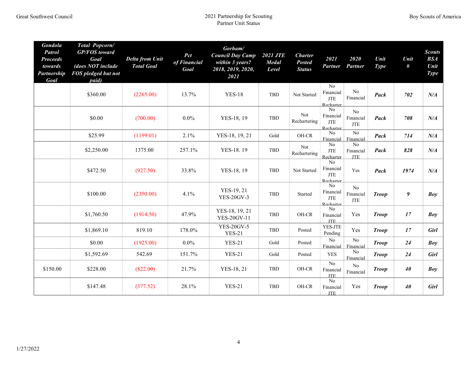| <b>Gondola</b><br><b>Patrol</b><br><b>Proceeds</b><br>towards<br>Partnership<br>Goal | Total Popcorn/<br><b>GP/FOS</b> toward<br>Goal<br>(does NOT include<br>FOS pledged but not<br>paid) | <b>Delta from Unit</b><br><b>Total Goal</b> | Pct<br>of Financial<br>Goal | Gorham/<br><b>Council Day Camp</b><br>within 3 years?<br>2018, 2019, 2020,<br>2021 | <b>2021 JTE</b><br><b>Medal</b><br>Level | <b>Charter</b><br><b>Posted</b><br><b>Status</b> | 2021<br><b>Partner</b>                                 | 2020<br>Partner               | Unit<br><b>Type</b> | Unit<br># | <b>Scouts</b><br>BSA<br>Unit<br><b>Type</b> |
|--------------------------------------------------------------------------------------|-----------------------------------------------------------------------------------------------------|---------------------------------------------|-----------------------------|------------------------------------------------------------------------------------|------------------------------------------|--------------------------------------------------|--------------------------------------------------------|-------------------------------|---------------------|-----------|---------------------------------------------|
|                                                                                      | \$360.00                                                                                            | (2265.00)                                   | 13.7%                       | <b>YES-18</b>                                                                      | TBD                                      | Not Started                                      | No<br>Financial<br><b>JTE</b><br><b>Recharter</b>      | N <sub>o</sub><br>Financial   | Pack                | 702       | N/A                                         |
|                                                                                      | \$0.00                                                                                              | (700.00)                                    | $0.0\%$                     | YES-18, 19                                                                         | TBD                                      | Not<br>Rechartering                              | N <sub>0</sub><br>Financial<br>JTE<br>Recharter        | No<br>Financial<br><b>JTE</b> | Pack                | 708       | $N\!/\!A$                                   |
|                                                                                      | \$25.99                                                                                             | (1199.01)                                   | 2.1%                        | YES-18, 19, 21                                                                     | Gold                                     | OH-CR                                            | No<br>Financial                                        | N <sub>o</sub><br>Financial   | Pack                | 714       | $N\!/\!A$                                   |
|                                                                                      | \$2,250.00                                                                                          | 1375.00                                     | 257.1%                      | YES-18.19                                                                          | TBD                                      | Not<br>Rechartering                              | N <sub>o</sub><br><b>JTE</b><br>Recharter              | No<br>Financial<br><b>JTE</b> | Pack                | 828       | $N\!/\!A$                                   |
|                                                                                      | \$472.50                                                                                            | (927.50)                                    | 33.8%                       | YES-18, 19                                                                         | TBD                                      | Not Started                                      | N <sub>0</sub><br>Financial<br><b>JTE</b><br>Recharter | Yes                           | Pack                | 1974      | $N\!/\!A$                                   |
|                                                                                      | \$100.00                                                                                            | (2350.00)                                   | 4.1%                        | YES-19, 21<br><b>YES-20GV-3</b>                                                    | TBD                                      | Started                                          | N <sub>o</sub><br>Financial<br>JTE<br>Recharter        | No<br>Financial<br><b>JTE</b> | <b>Troop</b>        | 9         | Boy                                         |
|                                                                                      | \$1,760.50                                                                                          | (1914.50)                                   | 47.9%                       | YES-18, 19, 21<br><b>YES-20GV-11</b>                                               | TBD                                      | OH-CR                                            | N <sub>o</sub><br>Financial<br>JTE.                    | Yes                           | <b>Troop</b>        | 17        | Boy                                         |
|                                                                                      | \$1,869.10                                                                                          | 819.10                                      | 178.0%                      | <b>YES-20GV-5</b><br><b>YES-21</b>                                                 | TBD                                      | Posted                                           | YES-JTE<br>Pending                                     | Yes                           | <b>Troop</b>        | 17        | <b>Girl</b>                                 |
|                                                                                      | \$0.00                                                                                              | (1925.00)                                   | $0.0\%$                     | <b>YES-21</b>                                                                      | Gold                                     | Posted                                           | $\overline{N_0}$<br>Financial                          | $\rm No$<br>Financial         | <b>Troop</b>        | 24        | Bov                                         |
|                                                                                      | \$1,592.69                                                                                          | 542.69                                      | 151.7%                      | <b>YES-21</b>                                                                      | Gold                                     | Posted                                           | <b>YES</b>                                             | N <sub>0</sub><br>Financial   | <b>Troop</b>        | 24        | <b>Girl</b>                                 |
| \$150.00                                                                             | \$228.00                                                                                            | (822.00)                                    | 21.7%                       | YES-18, 21                                                                         | TBD                                      | OH-CR                                            | No<br>Financial<br><b>JTE</b>                          | No<br>Financial               | <b>Troop</b>        | 40        | Boy                                         |
|                                                                                      | \$147.48                                                                                            | (377.52)                                    | 28.1%                       | <b>YES-21</b>                                                                      | TBD                                      | OH-CR                                            | No<br>Financial<br><b>JTE</b>                          | Yes                           | <b>Troop</b>        | 40        | <b>Girl</b>                                 |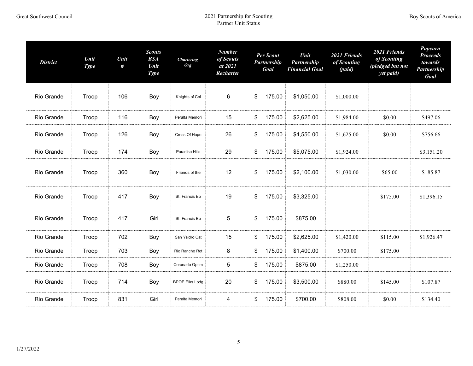| <b>District</b> | Unit<br><b>Type</b> | Unit<br># | <b>Scouts</b><br><b>BSA</b><br>Unit<br><b>Type</b> | <b>Chartering</b><br><b>Org</b> | <b>Number</b><br>of Scouts<br>at 2021<br>Recharter | <b>Per Scout</b><br>Partnership<br>Goal | Unit<br>Partnership<br><b>Financial Goal</b> | 2021 Friends<br>of Scouting<br>(paid) | 2021 Friends<br>of Scouting<br>(pledged but not<br>yet paid) | Popcorn<br><b>Proceeds</b><br>towards<br><b>Partnership</b><br>Goal |
|-----------------|---------------------|-----------|----------------------------------------------------|---------------------------------|----------------------------------------------------|-----------------------------------------|----------------------------------------------|---------------------------------------|--------------------------------------------------------------|---------------------------------------------------------------------|
| Rio Grande      | Troop               | 106       | Boy                                                | Knights of Col                  | 6                                                  | 175.00<br>\$                            | \$1,050.00                                   | \$1,000.00                            |                                                              |                                                                     |
| Rio Grande      | Troop               | 116       | Boy                                                | Peralta Memori                  | 15                                                 | 175.00<br>\$                            | \$2,625.00                                   | \$1,984.00                            | \$0.00                                                       | \$497.06                                                            |
| Rio Grande      | Troop               | 126       | Boy                                                | Cross Of Hope                   | 26                                                 | 175.00<br>\$                            | \$4,550.00                                   | \$1,625.00                            | \$0.00                                                       | \$756.66                                                            |
| Rio Grande      | Troop               | 174       | Boy                                                | Paradise Hills                  | 29                                                 | 175.00<br>\$                            | \$5,075.00                                   | \$1,924.00                            |                                                              | \$3,151.20                                                          |
| Rio Grande      | Troop               | 360       | Boy                                                | Friends of the                  | 12                                                 | \$<br>175.00                            | \$2,100.00                                   | \$1,030.00                            | \$65.00                                                      | \$185.87                                                            |
| Rio Grande      | Troop               | 417       | Boy                                                | St. Francis Ep                  | 19                                                 | 175.00<br>\$                            | \$3,325.00                                   |                                       | \$175.00                                                     | \$1,396.15                                                          |
| Rio Grande      | Troop               | 417       | Girl                                               | St. Francis Ep                  | $\mathbf 5$                                        | \$<br>175.00                            | \$875.00                                     |                                       |                                                              |                                                                     |
| Rio Grande      | Troop               | 702       | Boy                                                | San Ysidro Cat                  | 15                                                 | 175.00<br>\$                            | \$2,625.00                                   | \$1,420.00                            | \$115.00                                                     | \$1,926.47                                                          |
| Rio Grande      | Troop               | 703       | Boy                                                | Rio Rancho Rot                  | 8                                                  | 175.00<br>\$                            | \$1,400.00                                   | \$700.00                              | \$175.00                                                     |                                                                     |
| Rio Grande      | Troop               | 708       | Boy                                                | Coronado Optim                  | 5                                                  | 175.00<br>\$                            | \$875.00                                     | \$1,250.00                            |                                                              |                                                                     |
| Rio Grande      | Troop               | 714       | Boy                                                | <b>BPOE Elks Lodg</b>           | 20                                                 | \$<br>175.00                            | \$3,500.00                                   | \$880.00                              | \$145.00                                                     | \$107.87                                                            |
| Rio Grande      | Troop               | 831       | Girl                                               | Peralta Memori                  | 4                                                  | 175.00<br>\$                            | \$700.00                                     | \$808.00                              | \$0.00                                                       | \$134.40                                                            |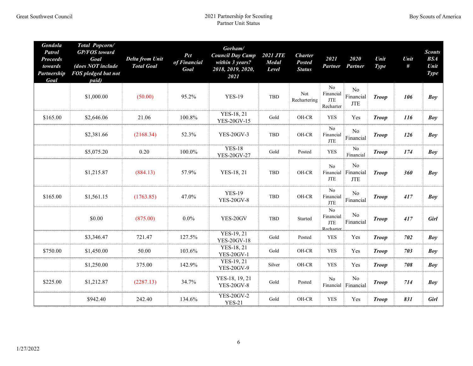| <b>Gondola</b><br><b>Patrol</b><br><b>Proceeds</b><br>towards<br><b>Partnership</b><br>Goal | Total Popcorn/<br><b>GP/FOS</b> toward<br>Goal<br>(does NOT include<br>FOS pledged but not<br><i>paid</i> ) | <b>Delta from Unit</b><br><b>Total Goal</b> | Pct<br>of Financial<br>Goal | Gorham/<br><b>Council Day Camp</b><br>within 3 years?<br>2018, 2019, 2020,<br>2021 | <b>2021 JTE</b><br><b>Medal</b><br>Level | <b>Charter</b><br><b>Posted</b><br><b>Status</b> | 2021<br>Partner                                                   | 2020<br>Partner                                     | Unit<br><b>Type</b> | Unit<br>$\#$ | <b>Scouts</b><br>BSA<br>Unit<br><b>Type</b> |
|---------------------------------------------------------------------------------------------|-------------------------------------------------------------------------------------------------------------|---------------------------------------------|-----------------------------|------------------------------------------------------------------------------------|------------------------------------------|--------------------------------------------------|-------------------------------------------------------------------|-----------------------------------------------------|---------------------|--------------|---------------------------------------------|
|                                                                                             | \$1,000.00                                                                                                  | (50.00)                                     | 95.2%                       | <b>YES-19</b>                                                                      | TBD                                      | Not<br>Rechartering                              | No<br>Financial<br><b>JTE</b><br>Recharter                        | N <sub>0</sub><br>Financial<br><b>JTE</b>           | <b>Troop</b>        | 106          | <b>Boy</b>                                  |
| \$165.00                                                                                    | \$2,646.06                                                                                                  | 21.06                                       | 100.8%                      | YES-18, 21<br><b>YES-20GV-15</b>                                                   | Gold                                     | OH-CR                                            | <b>YES</b>                                                        | Yes                                                 | <b>Troop</b>        | <i>116</i>   | Boy                                         |
|                                                                                             | \$2,381.66                                                                                                  | (2168.34)                                   | 52.3%                       | <b>YES-20GV-3</b>                                                                  | TBD                                      | OH-CR                                            | No<br>Financial<br><b>JTE</b>                                     | N <sub>o</sub><br>Financial                         | <b>Troop</b>        | 126          | Boy                                         |
|                                                                                             | \$5,075.20                                                                                                  | 0.20                                        | 100.0%                      | <b>YES-18</b><br><b>YES-20GV-27</b>                                                | Gold                                     | Posted                                           | <b>YES</b>                                                        | N <sub>0</sub><br>Financial                         | <b>Troop</b>        | 174          | Boy                                         |
|                                                                                             | \$1,215.87                                                                                                  | (884.13)                                    | 57.9%                       | YES-18, 21                                                                         | TBD                                      | OH-CR                                            | No<br><b>JTE</b>                                                  | N <sub>0</sub><br>Financial Financial<br><b>JTE</b> | <b>Troop</b>        | 360          | Boy                                         |
| \$165.00                                                                                    | \$1,561.15                                                                                                  | (1763.85)                                   | 47.0%                       | <b>YES-19</b><br><b>YES-20GV-8</b>                                                 | TBD                                      | OH-CR                                            | $\rm No$<br>Financial<br><b>JTE</b>                               | No<br>Financial                                     | <b>Troop</b>        | 417          | Boy                                         |
|                                                                                             | \$0.00                                                                                                      | (875.00)                                    | $0.0\%$                     | YES-20GV                                                                           | TBD                                      | Started                                          | $\overline{No}$<br>Financial<br>$\operatorname{JTE}$<br>Recharter | N <sub>o</sub><br>Financial                         | <b>Troop</b>        | 417          | <b>Girl</b>                                 |
|                                                                                             | \$3,346.47                                                                                                  | 721.47                                      | 127.5%                      | YES-19, 21<br><b>YES-20GV-18</b>                                                   | Gold                                     | Posted                                           | <b>YES</b>                                                        | Yes                                                 | <b>Troop</b>        | 702          | Bov                                         |
| \$750.00                                                                                    | \$1,450.00                                                                                                  | 50.00                                       | 103.6%                      | YES-18, 21<br><b>YES-20GV-1</b>                                                    | Gold                                     | OH-CR                                            | <b>YES</b>                                                        | Yes                                                 | <b>Troop</b>        | 703          | Boy                                         |
|                                                                                             | \$1,250.00                                                                                                  | 375.00                                      | 142.9%                      | YES-19, 21<br><b>YES-20GV-9</b>                                                    | Silver                                   | OH-CR                                            | <b>YES</b>                                                        | Yes                                                 | <b>Troop</b>        | 708          | <b>Boy</b>                                  |
| \$225.00                                                                                    | \$1,212.87                                                                                                  | (2287.13)                                   | 34.7%                       | YES-18, 19, 21<br><b>YES-20GV-8</b>                                                | Gold                                     | Posted                                           | $\rm No$<br>Financial                                             | N <sub>0</sub><br>Financial                         | <b>Troop</b>        | 714          | Boy                                         |
|                                                                                             | \$942.40                                                                                                    | 242.40                                      | 134.6%                      | <b>YES-20GV-2</b><br><b>YES-21</b>                                                 | Gold                                     | OH-CR                                            | <b>YES</b>                                                        | Yes                                                 | <b>Troop</b>        | 831          | <b>Girl</b>                                 |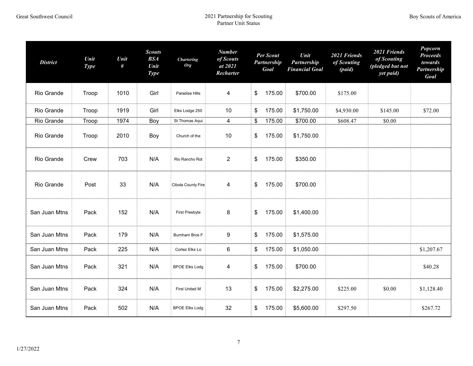| <b>District</b> | Unit<br><b>Type</b> | Unit<br># | <b>Scouts</b><br><b>BSA</b><br>Unit<br><b>Type</b> | <b>Chartering</b><br><b>Org</b> | <b>Number</b><br>of Scouts<br>at 2021<br>Recharter | Per Scout<br>Partnership<br>Goal | Unit<br>Partnership<br><b>Financial Goal</b> | 2021 Friends<br>of Scouting<br>(paid) | 2021 Friends<br>of Scouting<br>(pledged but not<br>yet paid) | Popcorn<br><b>Proceeds</b><br>towards<br>Partnership<br>Goal |
|-----------------|---------------------|-----------|----------------------------------------------------|---------------------------------|----------------------------------------------------|----------------------------------|----------------------------------------------|---------------------------------------|--------------------------------------------------------------|--------------------------------------------------------------|
| Rio Grande      | Troop               | 1010      | Girl                                               | Paradise Hills                  | $\overline{\mathbf{4}}$                            | \$<br>175.00                     | \$700.00                                     | \$175.00                              |                                                              |                                                              |
| Rio Grande      | Troop               | 1919      | Girl                                               | Elks Lodge 250                  | 10                                                 | \$<br>175.00                     | \$1,750.00                                   | \$4,930.00                            | \$145.00                                                     | \$72.00                                                      |
| Rio Grande      | Troop               | 1974      | Boy                                                | St Thomas Aqui                  | 4                                                  | \$<br>175.00                     | \$700.00                                     | \$608.47                              | \$0.00                                                       |                                                              |
| Rio Grande      | Troop               | 2010      | Boy                                                | Church of the                   | 10                                                 | \$<br>175.00                     | \$1,750.00                                   |                                       |                                                              |                                                              |
| Rio Grande      | Crew                | 703       | N/A                                                | Rio Rancho Rot                  | $\overline{2}$                                     | \$<br>175.00                     | \$350.00                                     |                                       |                                                              |                                                              |
| Rio Grande      | Post                | 33        | N/A                                                | Cibola County Fire              | $\overline{\mathbf{4}}$                            | \$<br>175.00                     | \$700.00                                     |                                       |                                                              |                                                              |
| San Juan Mtns   | Pack                | 152       | N/A                                                | First Presbyte                  | 8                                                  | \$<br>175.00                     | \$1,400.00                                   |                                       |                                                              |                                                              |
| San Juan Mtns   | Pack                | 179       | N/A                                                | Burnham Bros F                  | 9                                                  | \$<br>175.00                     | \$1,575.00                                   |                                       |                                                              |                                                              |
| San Juan Mtns   | Pack                | 225       | N/A                                                | Cortez Elks Lo                  | 6                                                  | \$<br>175.00                     | \$1,050.00                                   |                                       |                                                              | \$1,207.67                                                   |
| San Juan Mtns   | Pack                | 321       | N/A                                                | <b>BPOE Elks Lodg</b>           | $\overline{\mathbf{4}}$                            | \$<br>175.00                     | \$700.00                                     |                                       |                                                              | \$40.28                                                      |
| San Juan Mtns   | Pack                | 324       | N/A                                                | First United M                  | 13                                                 | \$<br>175.00<br>\$2,275.00       |                                              | \$225.00                              | \$0.00                                                       | \$1,128.40                                                   |
| San Juan Mtns   | Pack                | 502       | N/A                                                | <b>BPOE Elks Lodg</b>           | 32                                                 | \$<br>175.00<br>\$5,600.00       |                                              | \$297.50                              |                                                              | \$267.72                                                     |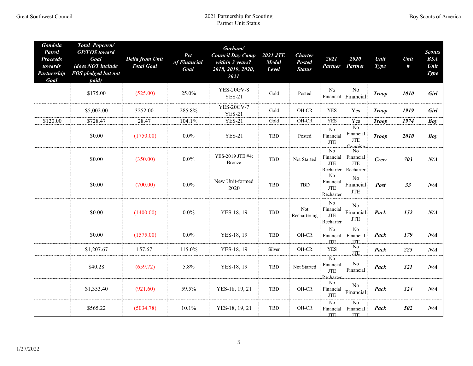| <b>Gondola</b><br><b>Patrol</b><br><b>Proceeds</b><br>towards<br>Partnership<br>Goal | <b>Total Popcorn/</b><br><b>GP/FOS</b> toward<br>Goal<br>(does NOT include<br>FOS pledged but not<br>paid) | <b>Delta from Unit</b><br><b>Total Goal</b> | Pct<br>of Financial<br>Goal | Gorham/<br><b>Council Day Camp</b><br>within 3 years?<br>2018, 2019, 2020,<br>2021 | <b>2021 JTE</b><br><b>Medal</b><br>Level | <b>Charter</b><br><b>Posted</b><br><b>Status</b> | 2021<br><b>Partner</b>                                            | 2020<br>Partner                               | Unit<br><b>Type</b> | Unit<br># | <b>Scouts</b><br><b>BSA</b><br>Unit<br><b>Type</b> |
|--------------------------------------------------------------------------------------|------------------------------------------------------------------------------------------------------------|---------------------------------------------|-----------------------------|------------------------------------------------------------------------------------|------------------------------------------|--------------------------------------------------|-------------------------------------------------------------------|-----------------------------------------------|---------------------|-----------|----------------------------------------------------|
|                                                                                      | \$175.00                                                                                                   | (525.00)                                    | 25.0%                       | <b>YES-20GV-8</b><br><b>YES-21</b>                                                 | Gold                                     | Posted                                           | $\rm No$<br>Financial                                             | No<br>Financial                               | <b>Troop</b>        | 1010      | <b>Girl</b>                                        |
|                                                                                      | \$5,002.00                                                                                                 | 3252.00                                     | 285.8%                      | <b>YES-20GV-7</b><br><b>YES-21</b>                                                 | Gold                                     | OH-CR                                            | <b>YES</b>                                                        | Yes                                           | <b>Troop</b>        | 1919      | Girl                                               |
| \$120.00                                                                             | \$728.47                                                                                                   | 28.47                                       | 104.1%                      | $YES-21$                                                                           | Gold                                     | OH-CR                                            | <b>YES</b>                                                        | Yes                                           | <b>Troop</b>        | 1974      | Boy                                                |
|                                                                                      | \$0.00                                                                                                     | (1750.00)                                   | $0.0\%$                     | <b>YES-21</b>                                                                      | <b>TBD</b>                               | Posted                                           | No<br>Financial<br><b>JTE</b>                                     | N <sub>o</sub><br>Financial<br>JTE<br>Camnino | <b>Troop</b>        | 2010      | Boy                                                |
|                                                                                      | \$0.00                                                                                                     | (350.00)                                    | $0.0\%$                     | YES-2019 JTE #4:<br>Bronze                                                         | TBD                                      | Not Started                                      | N <sub>o</sub><br>Financial<br><b>JTE</b>                         | No<br>Financial<br>JTE<br>Recharter Recharter | Crew                | 703       | $N\!/\!A$                                          |
|                                                                                      | \$0.00                                                                                                     | (700.00)                                    | $0.0\%$                     | New Unit-formed<br>2020                                                            | TBD                                      | TBD                                              | N <sub>0</sub><br>Financial<br><b>JTE</b><br>Recharter            | N <sub>0</sub><br>Financial<br><b>JTE</b>     | Post                | 33        | $N\!/\!A$                                          |
|                                                                                      | \$0.00                                                                                                     | (1400.00)                                   | $0.0\%$                     | YES-18, 19                                                                         | TBD                                      | Not<br>Rechartering                              | No<br>Financial<br><b>JTE</b><br>Recharter                        | No<br>Financial<br><b>JTE</b>                 | Pack                | 152       | $N\!/\!A$                                          |
|                                                                                      | \$0.00                                                                                                     | (1575.00)                                   | $0.0\%$                     | YES-18, 19                                                                         | TBD                                      | OH-CR                                            | No<br>Financial<br><b>JTE</b>                                     | No<br>Financial<br><b>JTE</b>                 | Pack                | 179       | $N\!/\!A$                                          |
|                                                                                      | \$1,207.67                                                                                                 | 157.67                                      | 115.0%                      | YES-18, 19                                                                         | Silver                                   | $\rm OH\text{-}CR$                               | <b>YES</b>                                                        | No<br><b>JTE</b>                              | Pack                | 225       | $N\!/\!A$                                          |
|                                                                                      | \$40.28                                                                                                    | (659.72)                                    | 5.8%                        | YES-18, 19                                                                         | TBD                                      | Not Started                                      | $\overline{No}$<br>Financial<br>$\operatorname{JTE}$<br>Recharter | N <sub>0</sub><br>Financial                   | Pack                | 321       | $N\!/\!A$                                          |
|                                                                                      | \$1,353.40                                                                                                 | (921.60)                                    | 59.5%                       | YES-18, 19, 21                                                                     | TBD                                      | OH-CR                                            | No<br>Financial<br><b>JTE</b>                                     | No<br>Financial                               | Pack                | 324       | $N\!/\!A$                                          |
|                                                                                      | \$565.22                                                                                                   | (5034.78)                                   | 10.1%                       | YES-18, 19, 21                                                                     | TBD                                      | OH-CR                                            | $\overline{No}$<br>Financial<br><b>ITE</b>                        | No<br>Financial<br><b>JTE</b>                 | Pack                | 502       | $N\!/\!A$                                          |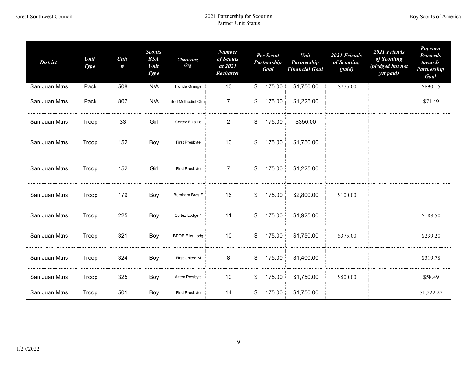| <b>District</b> | Unit<br><b>Type</b> | Unit<br># | <b>Scouts</b><br><b>BSA</b><br>Unit<br><b>Type</b> | <b>Chartering</b><br><b>Org</b> | <b>Number</b><br>of Scouts<br>at 2021<br>Recharter |               | Per Scout<br><b>Partnership</b><br>Goal | Unit<br>Partnership<br><b>Financial Goal</b> | 2021 Friends<br>of Scouting<br>(paid) | 2021 Friends<br>of Scouting<br>(pledged but not<br>yet paid) | Popcorn<br><b>Proceeds</b><br>towards<br>Partnership<br>Goal |
|-----------------|---------------------|-----------|----------------------------------------------------|---------------------------------|----------------------------------------------------|---------------|-----------------------------------------|----------------------------------------------|---------------------------------------|--------------------------------------------------------------|--------------------------------------------------------------|
| San Juan Mtns   | Pack                | 508       | N/A                                                | Florida Grange                  | 10                                                 | \$            | 175.00                                  | \$1,750.00                                   | \$775.00                              |                                                              | \$890.15                                                     |
| San Juan Mtns   | Pack                | 807       | N/A                                                | ited Methodist Chu              | $\overline{7}$                                     | \$            | 175.00                                  | \$1,225.00                                   |                                       |                                                              | \$71.49                                                      |
| San Juan Mtns   | Troop               | 33        | Girl                                               | Cortez Elks Lo                  | $\overline{2}$                                     | \$            | 175.00                                  | \$350.00                                     |                                       |                                                              |                                                              |
| San Juan Mtns   | Troop               | 152       | Boy                                                | First Presbyte                  | 10                                                 | \$            | 175.00                                  | \$1,750.00                                   |                                       |                                                              |                                                              |
| San Juan Mtns   | Troop               | 152       | Girl                                               | First Presbyte                  | $\overline{7}$                                     | \$            | 175.00                                  | \$1,225.00                                   |                                       |                                                              |                                                              |
| San Juan Mtns   | Troop               | 179       | Boy                                                | Burnham Bros F                  | 16                                                 | \$            | 175.00                                  | \$2,800.00                                   | \$100.00                              |                                                              |                                                              |
| San Juan Mtns   | Troop               | 225       | Boy                                                | Cortez Lodge 1                  | 11                                                 | $\frac{2}{3}$ | 175.00                                  | \$1,925.00                                   |                                       |                                                              | \$188.50                                                     |
| San Juan Mtns   | Troop               | 321       | Boy                                                | <b>BPOE Elks Lodg</b>           | 10                                                 | \$            | 175.00                                  | \$1,750.00                                   | \$375.00                              |                                                              | \$239.20                                                     |
| San Juan Mtns   | Troop               | 324       | Boy                                                | First United M                  | 8                                                  | \$            | 175.00                                  | \$1,400.00                                   |                                       |                                                              | \$319.78                                                     |
| San Juan Mtns   | Troop               | 325       | Boy                                                | Aztec Presbyte                  | 10                                                 | \$            | 175.00                                  | \$1,750.00                                   | \$500.00                              |                                                              | \$58.49                                                      |
| San Juan Mtns   | Troop               | 501       | Boy                                                | <b>First Presbyte</b>           | 14                                                 | \$            | 175.00                                  | \$1,750.00                                   |                                       |                                                              | \$1,222.27                                                   |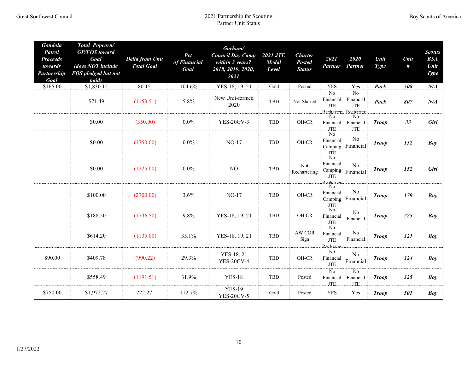| <b>Gondola</b><br><b>Patrol</b><br><b>Proceeds</b><br>towards<br><b>Partnership</b><br>Goal | Total Popcorn/<br><b>GP/FOS</b> toward<br>Goal<br>(does NOT include<br>FOS pledged but not<br>paid) | <b>Delta from Unit</b><br><b>Total Goal</b> | Pct<br>of Financial<br>Goal | Gorham/<br><b>Council Day Camp</b><br>within 3 years?<br>2018, 2019, 2020,<br>2021 | <b>2021 JTE</b><br><b>Medal</b><br>Level | <b>Charter</b><br><b>Posted</b><br><b>Status</b> | 2021<br><b>Partner</b>                                             | 2020<br>Partner                                      | Unit<br><b>Type</b> | Unit<br># | <b>Scouts</b><br><b>BSA</b><br>Unit<br><b>Type</b> |
|---------------------------------------------------------------------------------------------|-----------------------------------------------------------------------------------------------------|---------------------------------------------|-----------------------------|------------------------------------------------------------------------------------|------------------------------------------|--------------------------------------------------|--------------------------------------------------------------------|------------------------------------------------------|---------------------|-----------|----------------------------------------------------|
| \$165.00                                                                                    | \$1,830.15                                                                                          | 80.15                                       | 104.6%                      | YES-18, 19, 21                                                                     | Gold                                     | Posted                                           | <b>YES</b>                                                         | Yes                                                  | Pack                | 508       | $N\!/\!A$                                          |
|                                                                                             | \$71.49                                                                                             | (1153.51)                                   | 5.8%                        | New Unit-formed<br>2020                                                            | TBD                                      | Not Started                                      | No<br>Financial<br><b>JTE</b>                                      | No<br>Financial<br><b>JTE</b><br>Recharter Recharter | Pack                | 807       | $N\!/\!A$                                          |
|                                                                                             | \$0.00                                                                                              | (350.00)                                    | $0.0\%$                     | <b>YES-20GV-3</b>                                                                  | TBD                                      | OH-CR                                            | N <sub>0</sub><br>Financial<br><b>JTE</b>                          | N <sub>0</sub><br>Financial<br><b>JTE</b>            | <b>Troop</b>        | 33        | <b>Girl</b>                                        |
|                                                                                             | \$0.00                                                                                              | (1750.00)                                   | $0.0\%$                     | $NO-17$                                                                            | <b>TBD</b>                               | OH-CR                                            | $\overline{N_0}$<br>Financial<br>Camping<br>ITF.                   | No<br>Financial                                      | <b>Troop</b>        | 152       | Boy                                                |
|                                                                                             | \$0.00                                                                                              | (1225.00)                                   | $0.0\%$                     | $_{\rm NO}$                                                                        | TBD                                      | Not<br>Rechartering                              | $\overline{No}$<br>Financial<br>Camping<br><b>JTE</b><br>Recharter | No<br>Financial                                      | <b>Troop</b>        | 152       | <b>Girl</b>                                        |
|                                                                                             | \$100.00                                                                                            | (2700.00)                                   | 3.6%                        | $NO-17$                                                                            | TBD                                      | OH-CR                                            | $\overline{No}$<br>Financial<br>Camping<br><b>ITE</b>              | No<br>Financial                                      | <b>Troop</b>        | 179       | <b>Boy</b>                                         |
|                                                                                             | \$188.50                                                                                            | (1736.50)                                   | 9.8%                        | YES-18, 19, 21                                                                     | TBD                                      | OH-CR                                            | $\rm No$<br>Financial<br>JTE.                                      | No<br>Financial                                      | <b>Troop</b>        | 225       | Boy                                                |
|                                                                                             | \$614.20                                                                                            | (1135.80)                                   | 35.1%                       | YES-18, 19, 21                                                                     | TBD                                      | AW COR<br>Sign                                   | No<br>Financial<br><b>JTE</b><br>Recharter                         | $\rm No$<br>Financial                                | <b>Troop</b>        | 321       | Boy                                                |
| \$90.00                                                                                     | \$409.78                                                                                            | (990.22)                                    | 29.3%                       | YES-18, 21<br><b>YES-20GV-4</b>                                                    | TBD                                      | OH-CR                                            | No<br>Financial<br><b>JTE</b>                                      | N <sub>0</sub><br>Financial                          | <b>Troop</b>        | 324       | <b>Boy</b>                                         |
|                                                                                             | \$558.49                                                                                            | (1191.51)                                   | 31.9%                       | <b>YES-18</b>                                                                      | TBD                                      | Posted                                           | $\overline{No}$<br>Financial<br><b>ITE</b>                         | $\overline{No}$<br>Financial<br><b>ITE</b>           | <b>Troop</b>        | 325       | <b>Boy</b>                                         |
| \$750.00                                                                                    | \$1,972.27                                                                                          | 222.27                                      | 112.7%                      | <b>YES-19</b><br><b>YES-20GV-5</b>                                                 | Gold                                     | Posted                                           | <b>YES</b>                                                         | Yes                                                  | <b>Troop</b>        | 501       | <b>Boy</b>                                         |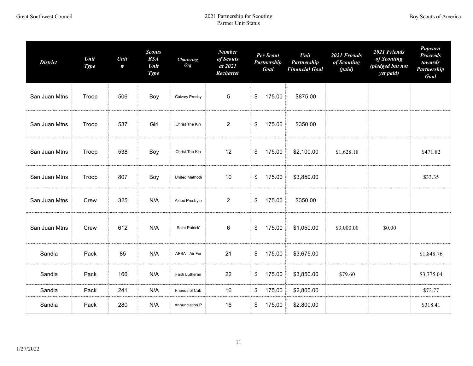| <b>District</b> | Unit<br><b>Type</b> | Unit<br># | <b>Scouts</b><br><b>BSA</b><br>Unit<br><b>Type</b> | <b>Chartering</b><br>Org | <b>Number</b><br>of Scouts<br>at 2021<br>Recharter | Per Scout<br>Partnership<br>Goal | Unit<br>Partnership<br><b>Financial Goal</b> | 2021 Friends<br>of Scouting<br>(paid) | 2021 Friends<br>of Scouting<br>(pledged but not<br>yet paid) | Popcorn<br><b>Proceeds</b><br>towards<br>Partnership<br>Goal |
|-----------------|---------------------|-----------|----------------------------------------------------|--------------------------|----------------------------------------------------|----------------------------------|----------------------------------------------|---------------------------------------|--------------------------------------------------------------|--------------------------------------------------------------|
| San Juan Mtns   | Troop               | 506       | Boy                                                | Calvary Presby           | $\sqrt{5}$                                         | 175.00<br>\$                     | \$875.00                                     |                                       |                                                              |                                                              |
| San Juan Mtns   | Troop               | 537       | Girl                                               | Christ The Kin           | $\overline{2}$                                     | 175.00<br>\$                     | \$350.00                                     |                                       |                                                              |                                                              |
| San Juan Mtns   | Troop               | 538       | Boy                                                | Christ The Kin           | 12                                                 | 175.00<br>\$                     | \$2,100.00                                   | \$1,628.18                            |                                                              | \$471.82                                                     |
| San Juan Mtns   | Troop               | 807       | Boy                                                | United Methodi           | 10                                                 | 175.00<br>\$                     | \$3,850.00                                   |                                       |                                                              | \$33.35                                                      |
| San Juan Mtns   | Crew                | 325       | N/A                                                | Aztec Presbyte           | $\overline{2}$                                     | 175.00<br>\$                     | \$350.00                                     |                                       |                                                              |                                                              |
| San Juan Mtns   | Crew                | 612       | N/A                                                | Saint Patrick'           | $\,6$                                              | 175.00<br>\$                     | \$1,050.00                                   | \$3,000.00                            | \$0.00                                                       |                                                              |
| Sandia          | Pack                | 85        | N/A                                                | AFSA - Air For           | 21                                                 | 175.00<br>\$                     | \$3,675.00                                   |                                       |                                                              | \$1,848.76                                                   |
| Sandia          | Pack                | 166       | N/A                                                | Faith Lutheran           | 22                                                 | 175.00<br>\$                     | \$3,850.00                                   | \$79.60                               |                                                              | \$3,775.04                                                   |
| Sandia          | Pack                | 241       | N/A                                                | Friends of Cub           | 16                                                 | 175.00<br>\$                     | \$2,800.00                                   |                                       |                                                              | \$72.77                                                      |
| Sandia          | Pack                | 280       | N/A                                                | Annunciation P           | 16                                                 | 175.00<br>\$                     | \$2,800.00                                   |                                       |                                                              | \$318.41                                                     |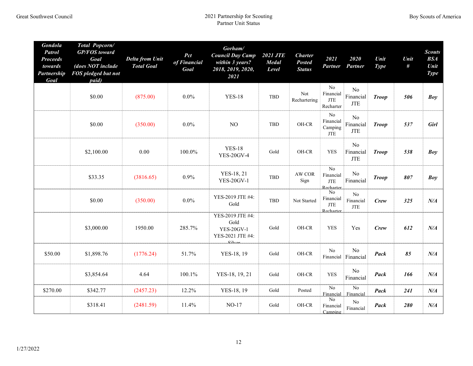| <b>Gondola</b><br><b>Patrol</b><br><b>Proceeds</b><br>towards<br><b>Partnership</b><br>Goal | Total Popcorn/<br><b>GP/FOS</b> toward<br>Goal<br>(does NOT include<br>FOS pledged but not<br>paid) | <b>Delta from Unit</b><br><b>Total Goal</b> | Pct<br>of Financial<br>Goal | Gorham/<br><b>Council Day Camp</b><br>within 3 years?<br>2018, 2019, 2020,<br>2021 | <b>2021 JTE</b><br><b>Medal</b><br>Level | <b>Charter</b><br><b>Posted</b><br><b>Status</b> | 2021<br><b>Partner</b>                                            | 2020<br>Partner                           | Unit<br><b>Type</b> | Unit<br># | <b>Scouts</b><br><b>BSA</b><br>Unit<br><b>Type</b> |
|---------------------------------------------------------------------------------------------|-----------------------------------------------------------------------------------------------------|---------------------------------------------|-----------------------------|------------------------------------------------------------------------------------|------------------------------------------|--------------------------------------------------|-------------------------------------------------------------------|-------------------------------------------|---------------------|-----------|----------------------------------------------------|
|                                                                                             | \$0.00                                                                                              | (875.00)                                    | $0.0\%$                     | <b>YES-18</b>                                                                      | TBD                                      | Not<br>Rechartering                              | $\rm No$<br>Financial<br>JTE<br>Recharter                         | No<br>Financial<br><b>JTE</b>             | <b>Troop</b>        | 506       | <b>Boy</b>                                         |
|                                                                                             | \$0.00                                                                                              | (350.00)                                    | $0.0\%$                     | NO                                                                                 | <b>TBD</b>                               | OH-CR                                            | $\rm No$<br>Financial<br>Camping<br>JTE                           | No<br>Financial<br><b>JTE</b>             | <b>Troop</b>        | 537       | <b>Girl</b>                                        |
|                                                                                             | \$2,100.00                                                                                          | 0.00                                        | 100.0%                      | <b>YES-18</b><br><b>YES-20GV-4</b>                                                 | Gold                                     | OH-CR                                            | <b>YES</b>                                                        | N <sub>o</sub><br>Financial<br><b>JTE</b> | <b>Troop</b>        | 538       | <b>Boy</b>                                         |
|                                                                                             | \$33.35                                                                                             | (3816.65)                                   | 0.9%                        | YES-18, 21<br><b>YES-20GV-1</b>                                                    | TBD                                      | AW COR<br>Sign                                   | $\overline{No}$<br>Financial<br>$\operatorname{JTE}$<br>Recharter | No<br>Financial                           | <b>Troop</b>        | 807       | <b>Boy</b>                                         |
|                                                                                             | \$0.00                                                                                              | (350.00)                                    | $0.0\%$                     | YES-2019 JTE #4:<br>Gold                                                           | TBD                                      | Not Started                                      | $\rm No$<br>Financial<br>$\operatorname{JTE}$<br>Recharter        | No<br>Financial<br><b>JTE</b>             | Crew                | 325       | $N\!/\!A$                                          |
|                                                                                             | \$3,000.00                                                                                          | 1950.00                                     | 285.7%                      | YES-2019 JTE #4:<br>Gold<br><b>YES-20GV-1</b><br>YES-2021 JTE #4:<br>Silver        | Gold                                     | OH-CR                                            | <b>YES</b>                                                        | Yes                                       | Crew                | 612       | $N\!/\!A$                                          |
| \$50.00                                                                                     | \$1,898.76                                                                                          | (1776.24)                                   | 51.7%                       | YES-18, 19                                                                         | Gold                                     | OH-CR                                            | $\rm No$                                                          | No<br>Financial Financial                 | Pack                | 85        | $N\!/\!A$                                          |
|                                                                                             | \$3,854.64                                                                                          | 4.64                                        | 100.1%                      | YES-18, 19, 21                                                                     | Gold                                     | OH-CR                                            | <b>YES</b>                                                        | No<br>Financial                           | Pack                | 166       | $N\!/\!A$                                          |
| \$270.00                                                                                    | \$342.77                                                                                            | (2457.23)                                   | 12.2%                       | YES-18, 19                                                                         | Gold                                     | Posted                                           | No<br>Financial                                                   | $\overline{N_0}$<br>Financial             | Pack                | 241       | $N\!/\!A$                                          |
|                                                                                             | \$318.41                                                                                            | (2481.59)                                   | 11.4%                       | $NO-17$                                                                            | Gold                                     | OH-CR                                            | $\rm No$<br>Financial<br>Camping                                  | N <sub>o</sub><br>Financial               | Pack                | 280       | $N\!/\!A$                                          |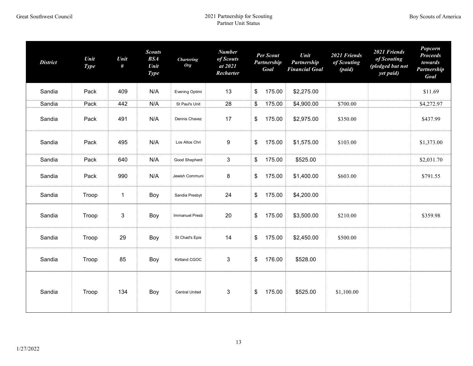| <b>District</b> | Unit<br><b>Type</b> | Unit<br>#    | <b>Scouts</b><br><b>BSA</b><br>Unit<br><b>Type</b> | <b>Chartering</b><br><b>Org</b> | <b>Number</b><br>of Scouts<br>at 2021<br>Recharter | Per Scout<br>Partnership<br>Goal | Unit<br>Partnership<br><b>Financial Goal</b> | 2021 Friends<br>of Scouting<br>(paid) | 2021 Friends<br>of Scouting<br>(pledged but not<br>yet paid) | Popcorn<br><b>Proceeds</b><br>towards<br>Partnership<br>Goal |
|-----------------|---------------------|--------------|----------------------------------------------------|---------------------------------|----------------------------------------------------|----------------------------------|----------------------------------------------|---------------------------------------|--------------------------------------------------------------|--------------------------------------------------------------|
| Sandia          | Pack                | 409          | N/A                                                | Evening Optimi                  | 13                                                 | \$<br>175.00                     | \$2,275.00                                   |                                       |                                                              | \$11.69                                                      |
| Sandia          | Pack                | 442          | N/A                                                | St Paul's Unit                  | 28                                                 | \$<br>175.00                     | \$4,900.00                                   | \$700.00                              |                                                              | \$4,272.97                                                   |
| Sandia          | Pack                | 491          | N/A                                                | Dennis Chavez                   | 17                                                 | \$<br>175.00                     | \$2,975.00                                   | \$350.00                              |                                                              | \$437.99                                                     |
| Sandia          | Pack                | 495          | N/A                                                | Los Altos Chri                  | 9                                                  | \$<br>175.00                     | \$1,575.00                                   | \$103.00                              |                                                              | \$1,373.00                                                   |
| Sandia          | Pack                | 640          | N/A                                                | Good Shepherd                   | $\mathbf{3}$                                       | \$<br>175.00                     | \$525.00                                     |                                       |                                                              | \$2,031.70                                                   |
| Sandia          | Pack                | 990          | N/A                                                | Jewish Communi                  | 8                                                  | \$<br>175.00                     | \$1,400.00                                   | \$603.00                              |                                                              | \$791.55                                                     |
| Sandia          | Troop               | $\mathbf{1}$ | Boy                                                | Sandia Presbyt                  | 24                                                 | \$<br>175.00                     | \$4,200.00                                   |                                       |                                                              |                                                              |
| Sandia          | Troop               | 3            | Boy                                                | <b>Immanuel Presb</b>           | 20                                                 | \$<br>175.00                     | \$3,500.00                                   | \$210.00                              |                                                              | \$359.98                                                     |
| Sandia          | Troop               | 29           | Boy                                                | St Chad's Epis                  | 14                                                 | \$<br>175.00                     | \$2,450.00                                   | \$500.00                              |                                                              |                                                              |
| Sandia          | Troop               | 85           | Boy                                                | Kirtland CGOC                   | 3                                                  | \$<br>176.00                     | \$528.00                                     |                                       |                                                              |                                                              |
| Sandia          | Troop               | 134          | Boy                                                | <b>Central United</b>           | $\mathfrak{B}$                                     | \$<br>175.00                     | \$525.00                                     | \$1,100.00                            |                                                              |                                                              |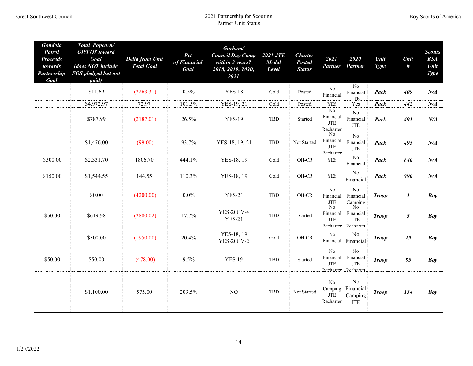| <b>Gondola</b><br><b>Patrol</b><br><b>Proceeds</b><br>towards<br><b>Partnership</b><br>Goal | Total Popcorn/<br><b>GP/FOS</b> toward<br>Goal<br>(does NOT include<br>FOS pledged but not<br>paid) | <b>Delta from Unit</b><br><b>Total Goal</b> | Pct<br>of Financial<br>Goal | Gorham/<br><b>Council Day Camp</b><br>within 3 years?<br>2018, 2019, 2020,<br>2021 | <b>2021 JTE</b><br><b>Medal</b><br>Level | <b>Charter</b><br><b>Posted</b><br><b>Status</b> | 2021<br><b>Partner</b>                                  | 2020<br>Partner                                      | Unit<br><b>Type</b> | Unit<br>$\#$     | <b>Scouts</b><br>BSA<br>Unit<br><b>Type</b> |
|---------------------------------------------------------------------------------------------|-----------------------------------------------------------------------------------------------------|---------------------------------------------|-----------------------------|------------------------------------------------------------------------------------|------------------------------------------|--------------------------------------------------|---------------------------------------------------------|------------------------------------------------------|---------------------|------------------|---------------------------------------------|
|                                                                                             | \$11.69                                                                                             | (2263.31)                                   | 0.5%                        | <b>YES-18</b>                                                                      | Gold                                     | Posted                                           | $\rm No$<br>Financial                                   | N <sub>0</sub><br>Financial<br><b>JTE</b>            | Pack                | 409              | $N\!/\!A$                                   |
|                                                                                             | \$4,972.97                                                                                          | 72.97                                       | 101.5%                      | YES-19, 21                                                                         | Gold                                     | Posted                                           | <b>YES</b>                                              | Yes                                                  | Pack                | 442              | $N\!/\!A$                                   |
|                                                                                             | \$787.99                                                                                            | (2187.01)                                   | 26.5%                       | <b>YES-19</b>                                                                      | <b>TBD</b>                               | Started                                          | $\overline{No}$<br>Financial<br>JTE<br><b>Recharter</b> | $\rm No$<br>Financial<br><b>JTE</b>                  | Pack                | 491              | $N\!/\!A$                                   |
|                                                                                             | \$1,476.00                                                                                          | (99.00)                                     | 93.7%                       | YES-18, 19, 21                                                                     | <b>TBD</b>                               | Not Started                                      | No<br>Financial<br>JTE<br>Recharter                     | No<br>Financial<br><b>JTE</b>                        | Pack                | 495              | $N\!/\!A$                                   |
| \$300.00                                                                                    | \$2,331.70                                                                                          | 1806.70                                     | 444.1%                      | YES-18, 19                                                                         | Gold                                     | OH-CR                                            | <b>YES</b>                                              | N <sub>o</sub><br>Financial                          | Pack                | 640              | $N\!/\!A$                                   |
| \$150.00                                                                                    | \$1,544.55                                                                                          | 144.55                                      | 110.3%                      | YES-18, 19                                                                         | Gold                                     | OH-CR                                            | <b>YES</b>                                              | No<br>Financial                                      | Pack                | 990              | $N\!/\!A$                                   |
|                                                                                             | \$0.00                                                                                              | (4200.00)                                   | $0.0\%$                     | <b>YES-21</b>                                                                      | <b>TBD</b>                               | OH-CR                                            | $\overline{No}$<br>Financial<br><b>JTE</b>              | No<br>Financial<br>Camping                           | <b>Troop</b>        | $\boldsymbol{l}$ | Boy                                         |
| \$50.00                                                                                     | \$619.98                                                                                            | (2880.02)                                   | 17.7%                       | <b>YES-20GV-4</b><br><b>YES-21</b>                                                 | <b>TBD</b>                               | Started                                          | N <sub>0</sub><br>Financial<br><b>JTE</b>               | No<br>Financial<br><b>JTE</b><br>Recharter Recharter | <b>Troop</b>        | $\mathfrak{z}$   | Boy                                         |
|                                                                                             | \$500.00                                                                                            | (1950.00)                                   | 20.4%                       | YES-18, 19<br><b>YES-20GV-2</b>                                                    | Gold                                     | OH-CR                                            | No                                                      | No<br>Financial Financial                            | <b>Troop</b>        | 29               | Boy                                         |
| \$50.00                                                                                     | \$50.00                                                                                             | (478.00)                                    | 9.5%                        | <b>YES-19</b>                                                                      | <b>TBD</b>                               | Started                                          | $\overline{No}$<br>Financial<br><b>JTE</b>              | No<br>Financial<br><b>JTE</b><br>Recharter Recharter | <b>Troop</b>        | 85               | Bov                                         |
|                                                                                             | \$1,100.00                                                                                          | 575.00                                      | 209.5%                      | NO                                                                                 | <b>TBD</b>                               | Not Started                                      | No<br>Camping<br>$\operatorname{JTE}$<br>Recharter      | N <sub>0</sub><br>Financial<br>Camping<br><b>JTE</b> | <b>Troop</b>        | 134              | Boy                                         |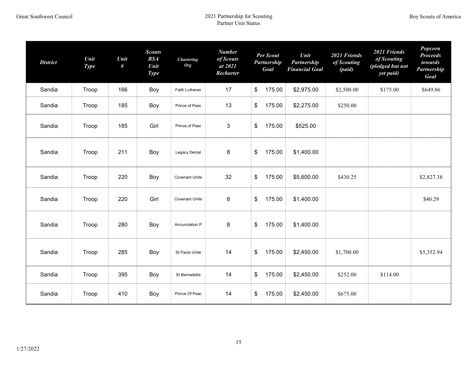| <b>District</b> | Unit<br><b>Type</b> | Unit<br># | <b>Scouts</b><br><b>BSA</b><br>Unit<br><b>Type</b> | <b>Chartering</b><br><b>Org</b> | <b>Number</b><br>of Scouts<br>at 2021<br>Recharter | Unit<br><b>Per Scout</b><br>Partnership<br><b>Partnership</b><br>Goal<br><b>Financial Goal</b> |            | 2021 Friends<br>of Scouting<br>(paid) | 2021 Friends<br>of Scouting<br>(pledged but not<br>yet paid) | Popcorn<br><b>Proceeds</b><br>towards<br>Partnership<br>Goal |
|-----------------|---------------------|-----------|----------------------------------------------------|---------------------------------|----------------------------------------------------|------------------------------------------------------------------------------------------------|------------|---------------------------------------|--------------------------------------------------------------|--------------------------------------------------------------|
| Sandia          | Troop               | 166       | Boy                                                | Faith Lutheran                  | 17                                                 | \$<br>175.00                                                                                   | \$2,975.00 | \$2,500.00                            | \$175.00                                                     | \$649.86                                                     |
| Sandia          | Troop               | 185       | Boy                                                | Prince of Peac                  | 13                                                 | \$<br>175.00                                                                                   | \$2,275.00 | \$250.00                              |                                                              |                                                              |
| Sandia          | Troop               | 185       | Girl                                               | Prince of Peac                  | 3                                                  | \$<br>175.00                                                                                   | \$525.00   |                                       |                                                              |                                                              |
| Sandia          | Troop               | 211       | Boy                                                | Legacy Dental                   | 8                                                  | \$<br>175.00                                                                                   | \$1,400.00 |                                       |                                                              |                                                              |
| Sandia          | Troop               | 220       | Boy                                                | <b>Covenant Unite</b>           | 32                                                 | \$<br>175.00                                                                                   | \$5,600.00 | \$430.25                              |                                                              | \$2,827.38                                                   |
| Sandia          | Troop               | 220       | Girl                                               | <b>Covenant Unite</b>           | 8                                                  | \$<br>175.00                                                                                   | \$1,400.00 |                                       |                                                              | \$40.29                                                      |
| Sandia          | Troop               | 280       | Boy                                                | Annunciation P                  | 8                                                  | \$<br>175.00                                                                                   | \$1,400.00 |                                       |                                                              |                                                              |
| Sandia          | Troop               | 285       | Boy                                                | St Pauls Unite                  | 14                                                 | \$<br>175.00                                                                                   | \$2,450.00 | \$1,700.00                            |                                                              | \$5,352.94                                                   |
| Sandia          | Troop               | 395       | Boy                                                | St Bernadette                   | 14                                                 | \$<br>175.00                                                                                   | \$2,450.00 | \$252.00                              | \$114.00                                                     |                                                              |
| Sandia          | Troop               | 410       | Boy                                                | Prince Of Peac                  | 14                                                 | \$<br>175.00                                                                                   | \$2,450.00 | \$675.00                              |                                                              |                                                              |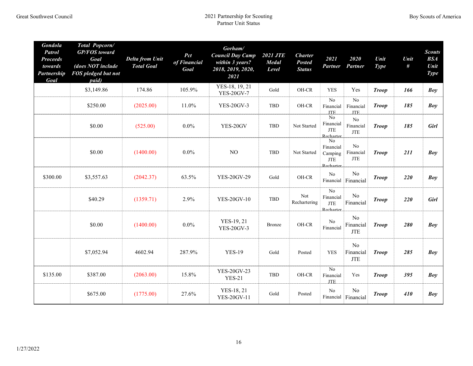| Gondola<br><b>Patrol</b><br><b>Proceeds</b><br>towards<br><b>Partnership</b><br>Goal | Total Popcorn/<br><b>GP/FOS</b> toward<br>Goal<br>(does NOT include<br>FOS pledged but not<br>paid) | <b>Delta from Unit</b><br><b>Total Goal</b> | Pct<br>of Financial<br>Goal | Gorham/<br><b>Council Day Camp</b><br>within 3 years?<br>2018, 2019, 2020,<br>2021 | <b>2021 JTE</b><br><b>Medal</b><br>Level | <b>Charter</b><br><b>Posted</b><br><b>Status</b> | 2021<br><b>Partner</b>                                            | 2020<br>Partner                           | Unit<br><b>Type</b> | Unit<br># | <b>Scouts</b><br><b>BSA</b><br>Unit<br><b>Type</b> |
|--------------------------------------------------------------------------------------|-----------------------------------------------------------------------------------------------------|---------------------------------------------|-----------------------------|------------------------------------------------------------------------------------|------------------------------------------|--------------------------------------------------|-------------------------------------------------------------------|-------------------------------------------|---------------------|-----------|----------------------------------------------------|
|                                                                                      | \$3,149.86                                                                                          | 174.86                                      | 105.9%                      | YES-18, 19, 21<br><b>YES-20GV-7</b>                                                | Gold                                     | OH-CR                                            | <b>YES</b>                                                        | Yes                                       | <b>Troop</b>        | 166       | <b>Boy</b>                                         |
|                                                                                      | \$250.00                                                                                            | (2025.00)                                   | 11.0%                       | <b>YES-20GV-3</b>                                                                  | <b>TBD</b>                               | OH-CR                                            | $\overline{No}$<br>Financial<br><b>JTE</b>                        | No<br>Financial<br><b>JTE</b>             | <b>Troop</b>        | 185       | <b>Boy</b>                                         |
|                                                                                      | \$0.00                                                                                              | (525.00)                                    | $0.0\%$                     | YES-20GV                                                                           | <b>TBD</b>                               | Not Started                                      | N <sub>o</sub><br>Financial<br><b>JTE</b><br>Recharter            | N <sub>0</sub><br>Financial<br><b>JTE</b> | <b>Troop</b>        | 185       | <b>Girl</b>                                        |
|                                                                                      | \$0.00                                                                                              | (1400.00)                                   | $0.0\%$                     | $_{\rm NO}$                                                                        | <b>TBD</b>                               | Not Started                                      | N <sub>o</sub><br>Financial<br>Camping<br>JTE<br>Recharter        | No<br>Financial<br><b>JTE</b>             | <b>Troop</b>        | 211       | <b>Boy</b>                                         |
| \$300.00                                                                             | \$3,557.63                                                                                          | (2042.37)                                   | 63.5%                       | <b>YES-20GV-29</b>                                                                 | Gold                                     | OH-CR                                            | No<br>Financial                                                   | N <sub>o</sub><br>Financial               | <b>Troop</b>        | 220       | Boy                                                |
|                                                                                      | \$40.29                                                                                             | (1359.71)                                   | 2.9%                        | <b>YES-20GV-10</b>                                                                 | <b>TBD</b>                               | Not<br>Rechartering                              | $\overline{No}$<br>Financial<br>$\operatorname{JTE}$<br>Recharter | No<br>Financial                           | <b>Troop</b>        | 220       | Girl                                               |
|                                                                                      | \$0.00                                                                                              | (1400.00)                                   | $0.0\%$                     | YES-19, 21<br><b>YES-20GV-3</b>                                                    | <b>Bronze</b>                            | OH-CR                                            | $\rm No$<br>Financial                                             | N <sub>0</sub><br>Financial<br><b>JTE</b> | <b>Troop</b>        | 280       | Boy                                                |
|                                                                                      | \$7,052.94                                                                                          | 4602.94                                     | 287.9%                      | <b>YES-19</b>                                                                      | Gold                                     | Posted                                           | <b>YES</b>                                                        | N <sub>o</sub><br>Financial<br><b>JTE</b> | <b>Troop</b>        | 285       | Boy                                                |
| \$135.00                                                                             | \$387.00                                                                                            | (2063.00)                                   | 15.8%                       | <b>YES-20GV-23</b><br><b>YES-21</b>                                                | <b>TBD</b>                               | OH-CR                                            | No<br>Financial<br>JTE                                            | Yes                                       | <b>Troop</b>        | 395       | Bov                                                |
|                                                                                      | \$675.00                                                                                            | (1775.00)                                   | 27.6%                       | YES-18, 21<br><b>YES-20GV-11</b>                                                   | Gold                                     | Posted                                           | No                                                                | N <sub>o</sub><br>Financial Financial     | <b>Troop</b>        | 410       | Boy                                                |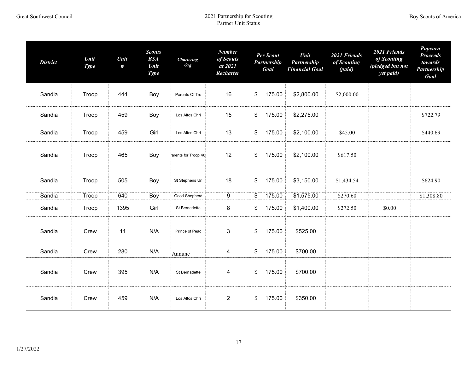| <b>District</b> | Unit<br><b>Type</b> | Unit<br># | <b>Scouts</b><br>BSA<br>Unit<br><b>Type</b> | <b>Chartering</b><br><b>Org</b> | <b>Number</b><br>of Scouts<br>at 2021<br>Recharter | Per Scout<br><b>Partnership</b><br>Goal | Unit<br>Partnership<br><b>Financial Goal</b> | 2021 Friends<br>of Scouting<br>(paid) | 2021 Friends<br>of Scouting<br>(pledged but not<br>yet paid) | Popcorn<br><b>Proceeds</b><br>towards<br>Partnership<br>Goal |
|-----------------|---------------------|-----------|---------------------------------------------|---------------------------------|----------------------------------------------------|-----------------------------------------|----------------------------------------------|---------------------------------------|--------------------------------------------------------------|--------------------------------------------------------------|
| Sandia          | Troop               | 444       | Boy                                         | Parents Of Tro                  | 16                                                 | \$<br>175.00                            | \$2,800.00                                   | \$2,000.00                            |                                                              |                                                              |
| Sandia          | Troop               | 459       | Boy                                         | Los Altos Chri                  | 15                                                 | \$<br>175.00                            | \$2,275.00                                   |                                       |                                                              | \$722.79                                                     |
| Sandia          | Troop               | 459       | Girl                                        | Los Altos Chri                  | 13                                                 | \$<br>175.00                            | \$2,100.00                                   | \$45.00                               |                                                              | \$440.69                                                     |
| Sandia          | Troop               | 465       | Boy                                         | arents for Troop 46             | 12                                                 | \$<br>175.00                            | \$2,100.00                                   | \$617.50                              |                                                              |                                                              |
| Sandia          | Troop               | 505       | Boy                                         | St Stephens Un                  | 18                                                 | \$<br>175.00                            | \$3,150.00                                   | \$1,434.54                            |                                                              | \$624.90                                                     |
| Sandia          | Troop               | 640       | Boy                                         | Good Shepherd                   | 9                                                  | \$<br>175.00                            | \$1,575.00                                   | \$270.60                              |                                                              | \$1,308.80                                                   |
| Sandia          | Troop               | 1395      | Girl                                        | St Bernadette                   | 8                                                  | \$<br>175.00                            | \$1,400.00                                   | \$272.50                              | \$0.00                                                       |                                                              |
| Sandia          | Crew                | 11        | N/A                                         | Prince of Peac                  | 3                                                  | \$<br>175.00                            | \$525.00                                     |                                       |                                                              |                                                              |
| Sandia          | Crew                | 280       | N/A                                         | Annunc                          | $\overline{4}$                                     | \$<br>175.00                            | \$700.00                                     |                                       |                                                              |                                                              |
| Sandia          | Crew                | 395       | N/A                                         | St Bernadette                   | 4                                                  | \$<br>175.00                            | \$700.00                                     |                                       |                                                              |                                                              |
| Sandia          | Crew                | 459       | N/A                                         | Los Altos Chri                  | $\overline{2}$                                     | \$<br>175.00                            | \$350.00                                     |                                       |                                                              |                                                              |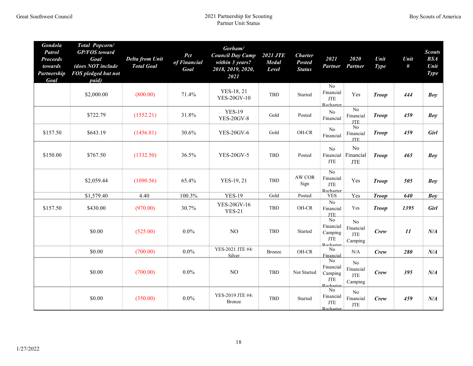| Gondola<br><b>Patrol</b><br><b>Proceeds</b><br>towards<br><b>Partnership</b><br>Goal | Total Popcorn/<br><b>GP/FOS</b> toward<br>Goal<br>(does NOT include<br>FOS pledged but not<br>paid) | <b>Delta from Unit</b><br><b>Total Goal</b> | Pct<br>of Financial<br>Goal | Gorham/<br><b>Council Day Camp</b><br>within 3 years?<br>2018, 2019, 2020,<br>2021 | <b>2021 JTE</b><br><b>Medal</b><br>Level | <b>Charter</b><br><b>Posted</b><br><b>Status</b> | 2021<br><b>Partner</b>                                      | 2020<br>Partner                                      | Unit<br><b>Type</b> | Unit<br># | <b>Scouts</b><br><b>BSA</b><br>Unit<br><b>Type</b> |
|--------------------------------------------------------------------------------------|-----------------------------------------------------------------------------------------------------|---------------------------------------------|-----------------------------|------------------------------------------------------------------------------------|------------------------------------------|--------------------------------------------------|-------------------------------------------------------------|------------------------------------------------------|---------------------|-----------|----------------------------------------------------|
|                                                                                      | \$2,000.00                                                                                          | (800.00)                                    | 71.4%                       | YES-18, 21<br><b>YES-20GV-10</b>                                                   | TBD                                      | Started                                          | No<br>Financial<br>$\operatorname{JTE}$<br><b>Recharter</b> | Yes                                                  | <b>Troop</b>        | 444       | Boy                                                |
|                                                                                      | \$722.79                                                                                            | (1552.21)                                   | 31.8%                       | <b>YES-19</b><br><b>YES-20GV-8</b>                                                 | Gold                                     | Posted                                           | No<br>Financial                                             | No<br>Financial<br><b>JTE</b>                        | <b>Troop</b>        | 459       | Boy                                                |
| \$157.50                                                                             | \$643.19                                                                                            | (1456.81)                                   | 30.6%                       | <b>YES-20GV-6</b>                                                                  | Gold                                     | OH-CR                                            | No<br>Financial                                             | N <sub>o</sub><br>Financial<br><b>JTE</b>            | <b>Troop</b>        | 459       | Girl                                               |
| \$150.00                                                                             | \$767.50                                                                                            | (1332.50)                                   | 36.5%                       | <b>YES-20GV-5</b>                                                                  | TBD                                      | Posted                                           | N <sub>o</sub><br>JTE                                       | N <sub>0</sub><br>Financial Financial<br><b>JTE</b>  | <b>Troop</b>        | 465       | Boy                                                |
|                                                                                      | \$2,059.44                                                                                          | (1090.56)                                   | 65.4%                       | YES-19, 21                                                                         | TBD                                      | AW COR<br>Sign                                   | No<br>Financial<br>JTE<br>Recharter                         | Yes                                                  | <b>Troop</b>        | 505       | Boy                                                |
|                                                                                      | \$1,579.40                                                                                          | 4.40                                        | 100.3%                      | <b>YES-19</b>                                                                      | Gold                                     | Posted                                           | <b>YES</b>                                                  | Yes                                                  | <b>Troop</b>        | 640       | Boy                                                |
| \$157.50                                                                             | \$430.00                                                                                            | (970.00)                                    | 30.7%                       | YES-20GV-16<br><b>YES-21</b>                                                       | TBD                                      | OH-CR                                            | N <sub>o</sub><br>Financial<br>JTE.                         | Yes                                                  | <b>Troop</b>        | 1395      | <b>Girl</b>                                        |
|                                                                                      | \$0.00                                                                                              | (525.00)                                    | $0.0\%$                     | NO                                                                                 | TBD                                      | Started                                          | $\overline{No}$<br>Financial<br>Camping<br>JTE<br>Recharter | No<br>Financial<br><b>JTE</b><br>Camping             | Crew                | 11        | $N\!/\!A$                                          |
|                                                                                      | \$0.00                                                                                              | (700.00)                                    | $0.0\%$                     | YES-2021 JTE #4:<br>Silver                                                         | <b>Bronze</b>                            | $\rm OH\text{-}CR$                               | No<br>Financial                                             | N/A                                                  | Crew                | 280       | $N\!/\!A$                                          |
|                                                                                      | \$0.00                                                                                              | (700.00)                                    | $0.0\%$                     | NO                                                                                 | <b>TBD</b>                               | Not Started                                      | No<br>Financial<br>Camping<br>JTE<br>Recharter              | N <sub>o</sub><br>Financial<br><b>JTE</b><br>Camping | Crew                | 395       | $N\!/\!A$                                          |
|                                                                                      | \$0.00                                                                                              | (350.00)                                    | $0.0\%$                     | YES-2019 JTE #4:<br><b>Bronze</b>                                                  | <b>TBD</b>                               | Started                                          | N <sub>0</sub><br>Financial<br>JTE<br>Recharter             | N <sub>o</sub><br>Financial<br><b>JTE</b>            | Crew                | 459       | $N\!/\!A$                                          |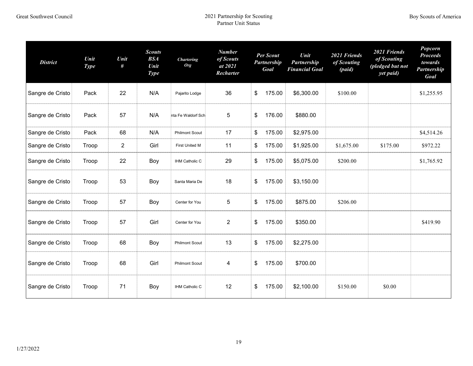| <b>District</b>  | Unit<br><b>Type</b> | Unit<br># | <b>Scouts</b><br><b>BSA</b><br>Unit<br><b>Type</b> | <b>Chartering</b><br><b>Org</b> | <b>Number</b><br>of Scouts<br>at 2021<br>Recharter | Per Scout<br>Partnership<br>Goal | Unit<br>Partnership<br><b>Financial Goal</b> | 2021 Friends<br>of Scouting<br>(paid) | 2021 Friends<br>of Scouting<br>(pledged but not<br>yet paid) | Popcorn<br><b>Proceeds</b><br>towards<br>Partnership<br>Goal |
|------------------|---------------------|-----------|----------------------------------------------------|---------------------------------|----------------------------------------------------|----------------------------------|----------------------------------------------|---------------------------------------|--------------------------------------------------------------|--------------------------------------------------------------|
| Sangre de Cristo | Pack                | 22        | N/A                                                | Pajarito Lodge                  | 36                                                 | \$<br>175.00                     | \$6,300.00                                   | \$100.00                              |                                                              | \$1,255.95                                                   |
| Sangre de Cristo | Pack                | 57        | N/A                                                | nta Fe Waldorf Sch              | 5                                                  | \$<br>176.00                     | \$880.00                                     |                                       |                                                              |                                                              |
| Sangre de Cristo | Pack                | 68        | N/A                                                | <b>Philmont Scout</b>           | 17                                                 | \$<br>175.00                     | \$2,975.00                                   |                                       |                                                              | \$4,514.26                                                   |
| Sangre de Cristo | Troop               | 2         | Girl                                               | First United M                  | 11                                                 | \$<br>175.00                     | \$1,925.00                                   | \$1,675.00                            | \$175.00                                                     | \$972.22                                                     |
| Sangre de Cristo | Troop               | 22        | Boy                                                | IHM Catholic C                  | 29                                                 | \$<br>175.00                     | \$5,075.00                                   | \$200.00                              |                                                              | \$1,765.92                                                   |
| Sangre de Cristo | Troop               | 53        | Boy                                                | Santa Maria De                  | 18                                                 | \$<br>175.00                     | \$3,150.00                                   |                                       |                                                              |                                                              |
| Sangre de Cristo | Troop               | 57        | Boy                                                | Center for You                  | 5                                                  | \$<br>175.00                     | \$875.00                                     | \$206.00                              |                                                              |                                                              |
| Sangre de Cristo | Troop               | 57        | Girl                                               | Center for You                  | $\overline{2}$                                     | \$<br>175.00                     | \$350.00                                     |                                       |                                                              | \$419.90                                                     |
| Sangre de Cristo | Troop               | 68        | Boy                                                | <b>Philmont Scout</b>           | 13                                                 | \$<br>175.00                     | \$2,275.00                                   |                                       |                                                              |                                                              |
| Sangre de Cristo | Troop               | 68        | Girl                                               | <b>Philmont Scout</b>           | 4                                                  | \$<br>175.00                     | \$700.00                                     |                                       |                                                              |                                                              |
| Sangre de Cristo | Troop               | 71        | Boy                                                | IHM Catholic C                  | 12                                                 | \$<br>175.00                     | \$2,100.00                                   | \$150.00                              | \$0.00                                                       |                                                              |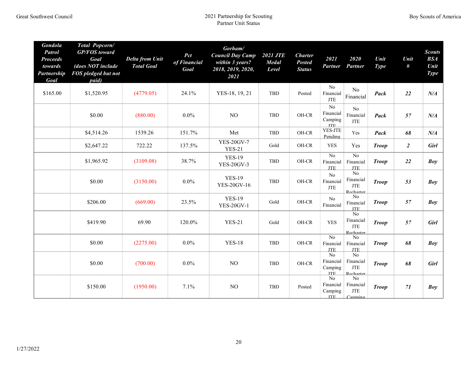| <b>Gondola</b><br><b>Patrol</b><br><b>Proceeds</b><br>towards<br>Partnership<br>Goal | Total Popcorn/<br><b>GP/FOS</b> toward<br>Goal<br>(does NOT include<br>FOS pledged but not<br>paid) | <b>Delta from Unit</b><br><b>Total Goal</b> | Pct<br>of Financial<br>Goal | Gorham/<br><b>Council Day Camp</b><br>within 3 years?<br>2018, 2019, 2020,<br>2021 | <b>2021 JTE</b><br><b>Medal</b><br>Level | <b>Charter</b><br><b>Posted</b><br><b>Status</b> | 2021<br><b>Partner</b>                                | 2020<br>Partner                                                | Unit<br><b>Type</b> | Unit<br>#      | <b>Scouts</b><br>BSA<br>Unit<br><b>Type</b> |
|--------------------------------------------------------------------------------------|-----------------------------------------------------------------------------------------------------|---------------------------------------------|-----------------------------|------------------------------------------------------------------------------------|------------------------------------------|--------------------------------------------------|-------------------------------------------------------|----------------------------------------------------------------|---------------------|----------------|---------------------------------------------|
| \$165.00                                                                             | \$1,520.95                                                                                          | (4779.05)                                   | 24.1%                       | YES-18, 19, 21                                                                     | TBD                                      | Posted                                           | No<br>Financial<br>$\operatorname{JTE}$               | N <sub>0</sub><br>Financial                                    | Pack                | 22             | $N\!/\!A$                                   |
|                                                                                      | \$0.00                                                                                              | (880.00)                                    | $0.0\%$                     | NO                                                                                 | TBD                                      | OH-CR                                            | $\overline{No}$<br>Financial<br>Camping<br><b>ITE</b> | No<br>Financial<br><b>JTE</b>                                  | Pack                | 57             | $N\!/\!A$                                   |
|                                                                                      | \$4,514.26                                                                                          | 1539.26                                     | 151.7%                      | Met                                                                                | TBD                                      | OH-CR                                            | YES-JTE<br>Pending                                    | Yes                                                            | Pack                | 68             | $N\!/\!A$                                   |
|                                                                                      | \$2,647.22                                                                                          | 722.22                                      | 137.5%                      | <b>YES-20GV-7</b><br><b>YES-21</b>                                                 | Gold                                     | OH-CR                                            | <b>YES</b>                                            | Yes                                                            | <b>Troop</b>        | $\overline{2}$ | <b>Girl</b>                                 |
|                                                                                      | \$1,965.92                                                                                          | (3109.08)                                   | 38.7%                       | <b>YES-19</b><br><b>YES-20GV-3</b>                                                 | TBD                                      | OH-CR                                            | $\overline{No}$<br>Financial<br><b>JTE</b>            | No<br>Financial<br><b>JTE</b>                                  | <b>Troop</b>        | 22             | Boy                                         |
|                                                                                      | \$0.00                                                                                              | (3150.00)                                   | $0.0\%$                     | <b>YES-19</b><br><b>YES-20GV-16</b>                                                | TBD                                      | OH-CR                                            | No<br>Financial<br><b>JTE</b>                         | N <sub>0</sub><br>Financial<br><b>JTE</b><br>Recharter         | <b>Troop</b>        | 53             | Boy                                         |
|                                                                                      | \$206.00                                                                                            | (669.00)                                    | 23.5%                       | <b>YES-19</b><br><b>YES-20GV-1</b>                                                 | Gold                                     | OH-CR                                            | No<br>Financial                                       | N <sub>o</sub><br>Financial<br><b>JTE</b>                      | <b>Troop</b>        | 57             | <b>Boy</b>                                  |
|                                                                                      | \$419.90                                                                                            | 69.90                                       | 120.0%                      | <b>YES-21</b>                                                                      | Gold                                     | OH-CR                                            | <b>YES</b>                                            | No<br>Financial<br>JTE<br>Recharter                            | <b>Troop</b>        | 57             | <b>Girl</b>                                 |
|                                                                                      | \$0.00                                                                                              | (2275.00)                                   | $0.0\%$                     | <b>YES-18</b>                                                                      | TBD                                      | OH-CR                                            | No<br>Financial<br><b>JTE</b>                         | N <sub>0</sub><br>Financial<br><b>JTE</b>                      | <b>Troop</b>        | 68             | Boy                                         |
|                                                                                      | \$0.00                                                                                              | (700.00)                                    | $0.0\%$                     | NO                                                                                 | TBD                                      | OH-CR                                            | No<br>Financial<br>Camping<br><b>ITE</b>              | No<br>Financial<br><b>JTE</b><br>Recharter                     | <b>Troop</b>        | 68             | <b>Girl</b>                                 |
|                                                                                      | \$150.00                                                                                            | (1950.00)                                   | 7.1%                        | NO                                                                                 | <b>TBD</b>                               | Posted                                           | $\overline{No}$<br>Financial<br>Camping<br>ITE.       | N <sub>o</sub><br>Financial<br>$\operatorname{JTE}$<br>Camnino | <b>Troop</b>        | 71             | Boy                                         |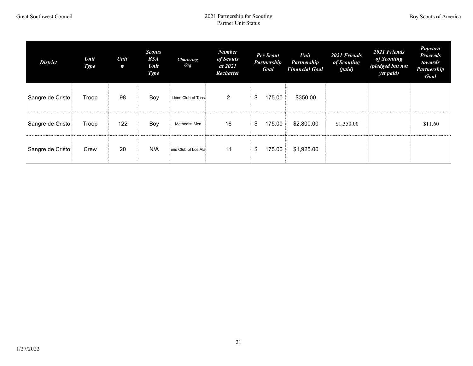| <b>District</b>  | <b>Unit</b><br><b>Type</b> | Unit<br># | <b>Scouts</b><br><b>BSA</b><br><b>Unit</b><br><b>Type</b> | <b>Chartering</b><br><b>Org</b> | <b>Number</b><br>of Scouts<br>at 2021<br>Recharter | <b>Per Scout</b><br>Partnership<br>Goal | Unit<br>Partnership<br><b>Financial Goal</b> | 2021 Friends<br>of Scouting<br>(paid) | 2021 Friends<br>of Scouting<br>(pledged but not<br>yet paid) | Popcorn<br><b>Proceeds</b><br>towards<br>Partnership<br>Goal |
|------------------|----------------------------|-----------|-----------------------------------------------------------|---------------------------------|----------------------------------------------------|-----------------------------------------|----------------------------------------------|---------------------------------------|--------------------------------------------------------------|--------------------------------------------------------------|
| Sangre de Cristo | Troop                      | 98        | Boy                                                       | Lions Club of Taos              | $\overline{2}$                                     | \$<br>175.00                            | \$350.00                                     |                                       |                                                              |                                                              |
| Sangre de Cristo | Troop                      | 122       | Boy                                                       | Methodist Men                   | 16                                                 | \$<br>175.00                            | \$2,800.00                                   | \$1,350.00                            |                                                              | \$11.60                                                      |
| Sangre de Cristo | Crew                       | 20        | N/A                                                       | anis Club of Los Ala            | 11                                                 | \$<br>175.00                            | \$1,925.00                                   |                                       |                                                              |                                                              |